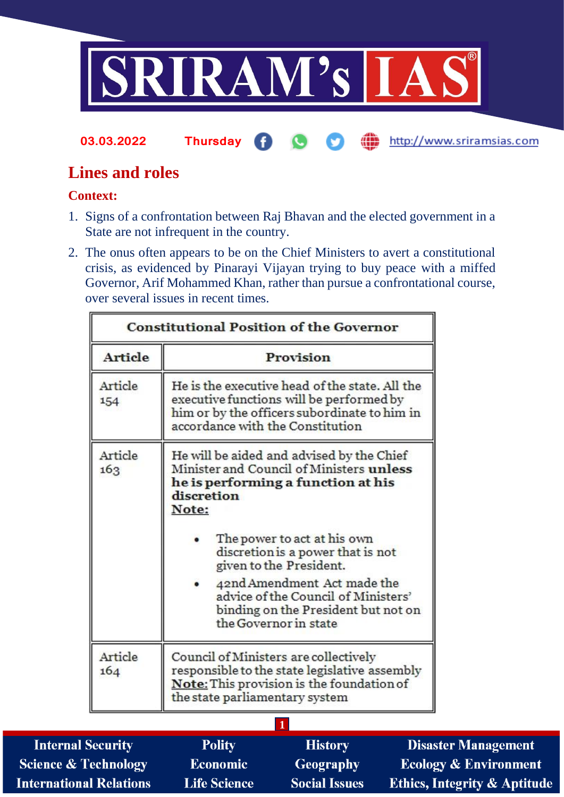

#### **03.03.2022 Thursday** æ http://www.sriramsias.com G M

# **Lines and roles**

## **Context:**

- 1. Signs of a confrontation between Raj Bhavan and the elected government in a State are not infrequent in the country.
- 2. The onus often appears to be on the Chief Ministers to avert a constitutional crisis, as evidenced by Pinarayi Vijayan trying to buy peace with a miffed Governor, Arif Mohammed Khan, rather than pursue a confrontational course, over several issues in recent times.

| <b>Constitutional Position of the Governor</b> |                                                                                                                                                                                |  |  |  |
|------------------------------------------------|--------------------------------------------------------------------------------------------------------------------------------------------------------------------------------|--|--|--|
| Article                                        | Provision                                                                                                                                                                      |  |  |  |
| Article<br>154                                 | He is the executive head of the state. All the<br>executive functions will be performed by<br>him or by the officers subordinate to him in<br>accordance with the Constitution |  |  |  |
| Article<br>163                                 | He will be aided and advised by the Chief<br>Minister and Council of Ministers unless<br>he is performing a function at his<br>discretion<br>Note:                             |  |  |  |
|                                                | The power to act at his own<br>discretion is a power that is not<br>given to the President.                                                                                    |  |  |  |
|                                                | 42nd Amendment Act made the<br>advice of the Council of Ministers'<br>binding on the President but not on<br>the Governor in state                                             |  |  |  |
| Article<br>164                                 | Council of Ministers are collectively<br>responsible to the state legislative assembly<br>Note: This provision is the foundation of<br>the state parliamentary system          |  |  |  |
|                                                | 1                                                                                                                                                                              |  |  |  |

| <b>Internal Security</b>        | <b>Polity</b>       | <b>History</b>       | <b>Disaster Management</b>              |
|---------------------------------|---------------------|----------------------|-----------------------------------------|
| <b>Science &amp; Technology</b> | Economic            | <b>Geography</b>     | <b>Ecology &amp; Environment</b>        |
| <b>International Relations</b>  | <b>Life Science</b> | <b>Social Issues</b> | <b>Ethics, Integrity &amp; Aptitude</b> |
|                                 |                     |                      |                                         |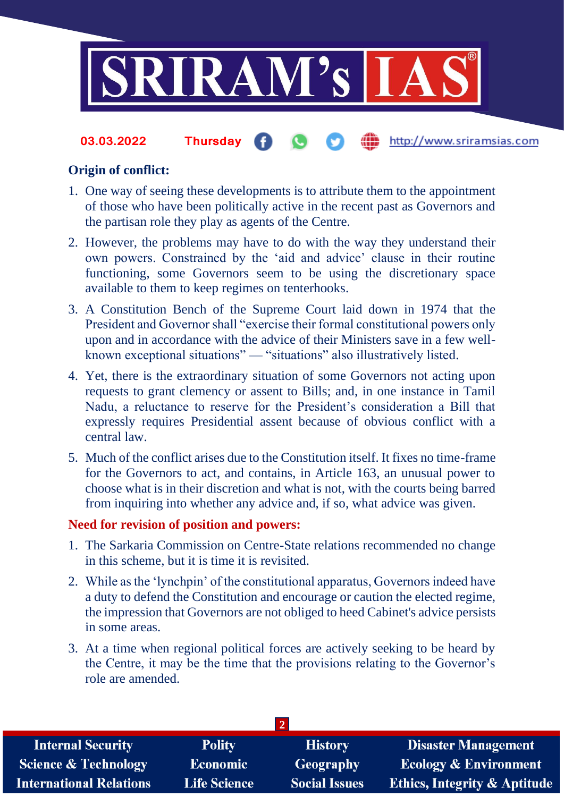

#### the http://www.sriramsias.com **03.03.2022 Thursday**

### **Origin of conflict:**

- 1. One way of seeing these developments is to attribute them to the appointment of those who have been politically active in the recent past as Governors and the partisan role they play as agents of the Centre.
- 2. However, the problems may have to do with the way they understand their own powers. Constrained by the 'aid and advice' clause in their routine functioning, some Governors seem to be using the discretionary space available to them to keep regimes on tenterhooks.
- 3. A Constitution Bench of the Supreme Court laid down in 1974 that the President and Governor shall "exercise their formal constitutional powers only upon and in accordance with the advice of their Ministers save in a few wellknown exceptional situations" — "situations" also illustratively listed.
- 4. Yet, there is the extraordinary situation of some Governors not acting upon requests to grant clemency or assent to Bills; and, in one instance in Tamil Nadu, a reluctance to reserve for the President's consideration a Bill that expressly requires Presidential assent because of obvious conflict with a central law.
- 5. Much of the conflict arises due to the Constitution itself. It fixes no time-frame for the Governors to act, and contains, in Article 163, an unusual power to choose what is in their discretion and what is not, with the courts being barred from inquiring into whether any advice and, if so, what advice was given.

### **Need for revision of position and powers:**

- 1. The Sarkaria Commission on Centre-State relations recommended no change in this scheme, but it is time it is revisited.
- 2. While as the 'lynchpin' of the constitutional apparatus, Governors indeed have a duty to defend the Constitution and encourage or caution the elected regime, the impression that Governors are not obliged to heed Cabinet's advice persists in some areas.
- 3. At a time when regional political forces are actively seeking to be heard by the Centre, it may be the time that the provisions relating to the Governor's role are amended.

| <b>Internal Security</b>        | <b>Polity</b>       | <b>History</b>       | <b>Disaster Management</b>              |
|---------------------------------|---------------------|----------------------|-----------------------------------------|
| <b>Science &amp; Technology</b> | Economic            | Geography            | <b>Ecology &amp; Environment</b>        |
| <b>International Relations</b>  | <b>Life Science</b> | <b>Social Issues</b> | <b>Ethics, Integrity &amp; Aptitude</b> |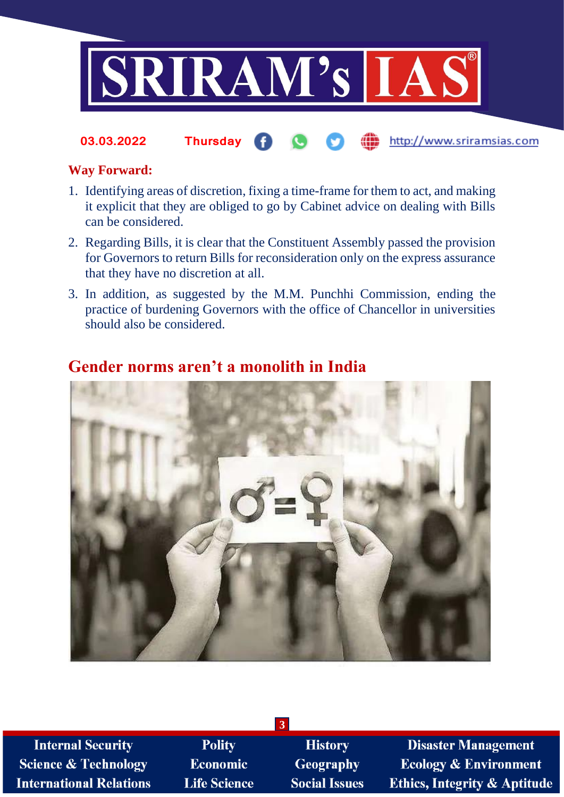

din http://www.sriramsias.com **03.03.2022 Thursday**

### **Way Forward:**

- 1. Identifying areas of discretion, fixing a time-frame for them to act, and making it explicit that they are obliged to go by Cabinet advice on dealing with Bills can be considered.
- 2. Regarding Bills, it is clear that the Constituent Assembly passed the provision for Governors to return Bills for reconsideration only on the express assurance that they have no discretion at all.
- 3. In addition, as suggested by the M.M. Punchhi Commission, ending the practice of burdening Governors with the office of Chancellor in universities should also be considered.

**3**

# **Gender norms aren't a monolith in India**

**Internal Security Science & Technology International Relations** 

Polity **Economic Life Science** 

**History Geography Social Issues** 

**Disaster Management Ecology & Environment Ethics, Integrity & Aptitude**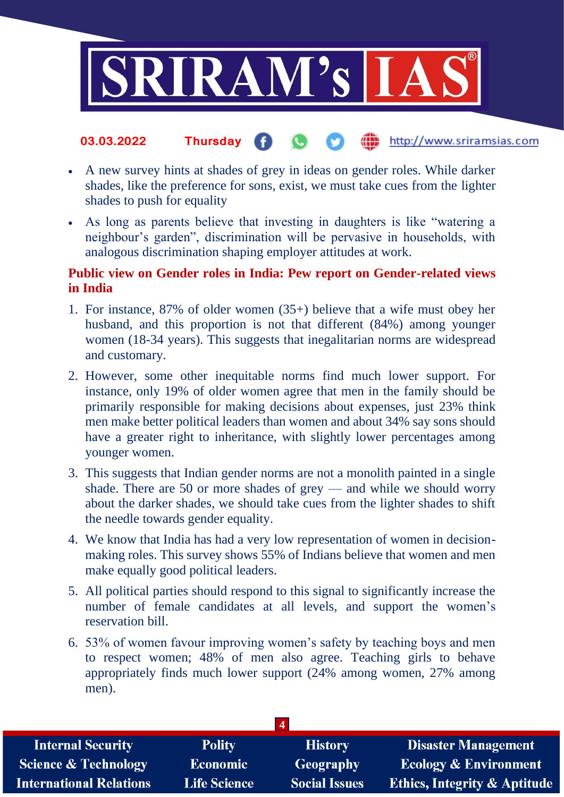

#### **fin** http://www.sriramsias.com **03.03.2022 Thursday**

- A new survey hints at shades of grey in ideas on gender roles. While darker shades, like the preference for sons, exist, we must take cues from the lighter shades to push for equality
- As long as parents believe that investing in daughters is like "watering a neighbour's garden", discrimination will be pervasive in households, with analogous discrimination shaping employer attitudes at work.

## **Public view on Gender roles in India: Pew report on Gender-related views in India**

- 1. For instance, 87% of older women (35+) believe that a wife must obey her husband, and this proportion is not that different (84%) among younger women (18-34 years). This suggests that inegalitarian norms are widespread and customary.
- 2. However, some other inequitable norms find much lower support. For instance, only 19% of older women agree that men in the family should be primarily responsible for making decisions about expenses, just 23% think men make better political leaders than women and about 34% say sons should have a greater right to inheritance, with slightly lower percentages among younger women.
- 3. This suggests that Indian gender norms are not a monolith painted in a single shade. There are 50 or more shades of grey — and while we should worry about the darker shades, we should take cues from the lighter shades to shift the needle towards gender equality.
- 4. We know that India has had a very low representation of women in decisionmaking roles. This survey shows 55% of Indians believe that women and men make equally good political leaders.
- 5. All political parties should respond to this signal to significantly increase the number of female candidates at all levels, and support the women's reservation bill.
- 6. 53% of women favour improving women's safety by teaching boys and men to respect women; 48% of men also agree. Teaching girls to behave appropriately finds much lower support (24% among women, 27% among men).

| <b>Internal Security</b>        | <b>Polity</b>       | <b>History</b>       | <b>Disaster Management</b>              |
|---------------------------------|---------------------|----------------------|-----------------------------------------|
| <b>Science &amp; Technology</b> | <b>Economic</b>     | Geography            | <b>Ecology &amp; Environment</b>        |
| <b>International Relations</b>  | <b>Life Science</b> | <b>Social Issues</b> | <b>Ethics, Integrity &amp; Aptitude</b> |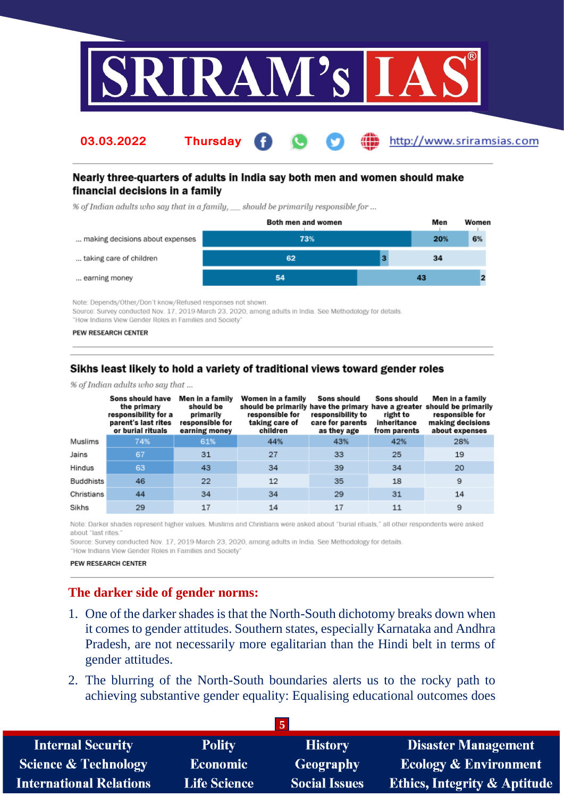

http://www.sriramsias.com

### Nearly three-quarters of adults in India say both men and women should make financial decisions in a family

% of Indian adults who say that in a family, \_\_ should be primarily responsible for ...

**Thursday** 

|                                 | Both men and women | Men | Women |
|---------------------------------|--------------------|-----|-------|
| making decisions about expenses | 73%                | 20% | 6%    |
| taking care of children         | 62                 | 34  |       |
| earning money                   | 54                 | 43  |       |

Note: Depends/Other/Don't know/Refused responses not shown. Source: Survey conducted Nov. 17, 2019-March 23, 2020, among adults in India. See Methodology for details. "How Indians View Gender Roles in Families and Society'

#### PEW RESEARCH CENTER

03.03.2022

### Sikhs least likely to hold a variety of traditional views toward gender roles

% of Indian adults who say that ...

|            | Sons should have<br>the primary<br>responsibility for a<br>parent's last rites<br>or burial rituals | Men in a family<br>should be<br>primarily<br>responsible for<br>earning money | Women in a family<br>should be primarily<br>responsible for<br>taking care of<br>children | Sons should<br>responsibility to<br>care for parents<br>as they age | Sons should<br>right to<br>inheritance<br>from parents | Men in a family<br>have the primary have a greater should be primarily<br>responsible for<br>making decisions<br>about expenses |
|------------|-----------------------------------------------------------------------------------------------------|-------------------------------------------------------------------------------|-------------------------------------------------------------------------------------------|---------------------------------------------------------------------|--------------------------------------------------------|---------------------------------------------------------------------------------------------------------------------------------|
| Muslims    | 74%                                                                                                 | 61%                                                                           | 44%                                                                                       | 43%                                                                 | 42%                                                    | 28%                                                                                                                             |
| Jains      | 67                                                                                                  | 31                                                                            | 27                                                                                        | 33                                                                  | 25                                                     | 19                                                                                                                              |
| Hindus     | 63                                                                                                  | 43                                                                            | 34                                                                                        | 39                                                                  | 34                                                     | 20                                                                                                                              |
| Buddhists  | 46                                                                                                  | 22                                                                            | 12                                                                                        | 35                                                                  | 18                                                     | 9                                                                                                                               |
| Christians | 44                                                                                                  | 34                                                                            | 34                                                                                        | 29                                                                  | 31                                                     | 14                                                                                                                              |
| Sikhs      | 29                                                                                                  | 17                                                                            | 14                                                                                        | 17                                                                  | 11                                                     | 9                                                                                                                               |

Note: Darker shades represent higher values. Muslims and Christians were asked about "burial rituals," all other respondents were asked about "last rites."

Source: Survey conducted Nov. 17, 2019-March 23, 2020, among adults in India. See Methodology for details. "How Indians View Gender Roles in Families and Society"

PEW RESEARCH CENTER

### The darker side of gender norms:

- 1. One of the darker shades is that the North-South dichotomy breaks down when it comes to gender attitudes. Southern states, especially Karnataka and Andhra Pradesh, are not necessarily more egalitarian than the Hindi belt in terms of gender attitudes.
- 2. The blurring of the North-South boundaries alerts us to the rocky path to achieving substantive gender equality: Equalising educational outcomes does

| <b>Internal Security</b>        | <b>Polity</b>       | <b>History</b>       | <b>Disaster Management</b>              |
|---------------------------------|---------------------|----------------------|-----------------------------------------|
| <b>Science &amp; Technology</b> | <b>Economic</b>     | Geography            | <b>Ecology &amp; Environment</b>        |
| <b>International Relations</b>  | <b>Life Science</b> | <b>Social Issues</b> | <b>Ethics, Integrity &amp; Aptitude</b> |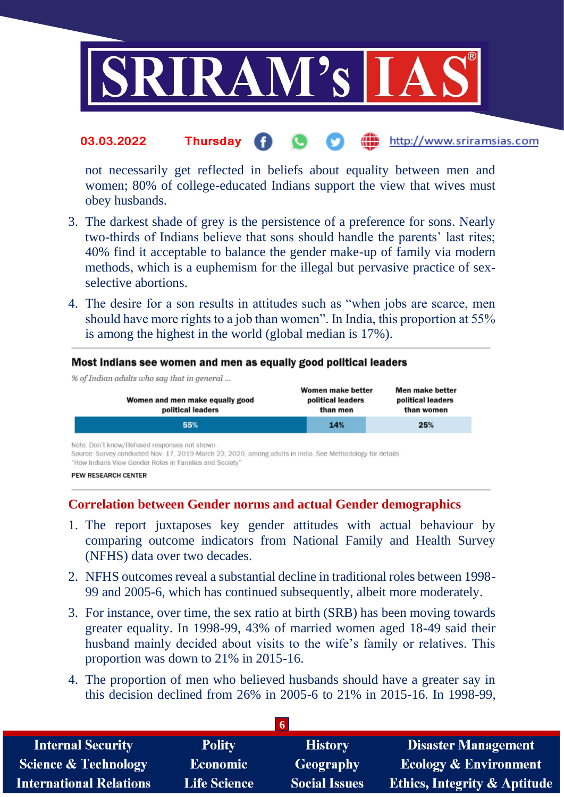

#### http://www.sriramsias.com **03.03.2022 Thursday**

not necessarily get reflected in beliefs about equality between men and women; 80% of college-educated Indians support the view that wives must obey husbands.

- 3. The darkest shade of grey is the persistence of a preference for sons. Nearly two-thirds of Indians believe that sons should handle the parents' last rites; 40% find it acceptable to balance the gender make-up of family via modern methods, which is a euphemism for the illegal but pervasive practice of sexselective abortions.
- 4. The desire for a son results in attitudes such as "when jobs are scarce, men should have more rights to a job than women". In India, this proportion at 55% is among the highest in the world (global median is 17%).

#### Most Indians see women and men as equally good political leaders

| % of Indian adults who say that in general           |                                                    |                                                    |
|------------------------------------------------------|----------------------------------------------------|----------------------------------------------------|
| Women and men make equally good<br>political leaders | Women make better<br>political leaders<br>than men | Men make better<br>political leaders<br>than women |
| 55%                                                  | 14%                                                | 25%                                                |

Note: Don't know/Refused responses not shown.

Source: Survey conducted Nov. 17, 2019-March 23, 2020, among adults in India. See Methodology for details.

"How Indians View Gender Roles in Families and Society'

### **Correlation between Gender norms and actual Gender demographics**

- 1. The report juxtaposes key gender attitudes with actual behaviour by comparing outcome indicators from National Family and Health Survey (NFHS) data over two decades.
- 2. NFHS outcomes reveal a substantial decline in traditional roles between 1998- 99 and 2005-6, which has continued subsequently, albeit more moderately.
- 3. For instance, over time, the sex ratio at birth (SRB) has been moving towards greater equality. In 1998-99, 43% of married women aged 18-49 said their husband mainly decided about visits to the wife's family or relatives. This proportion was down to 21% in 2015-16.
- 4. The proportion of men who believed husbands should have a greater say in this decision declined from 26% in 2005-6 to 21% in 2015-16. In 1998-99,

| <b>Internal Security</b>        | <b>Polity</b>   | <b>History</b>       | <b>Disaster Management</b>              |
|---------------------------------|-----------------|----------------------|-----------------------------------------|
| <b>Science &amp; Technology</b> | <b>Economic</b> | Geography            | <b>Ecology &amp; Environment</b>        |
| <b>International Relations</b>  | Life Science    | <b>Social Issues</b> | <b>Ethics, Integrity &amp; Aptitude</b> |

PEW RESEARCH CENTER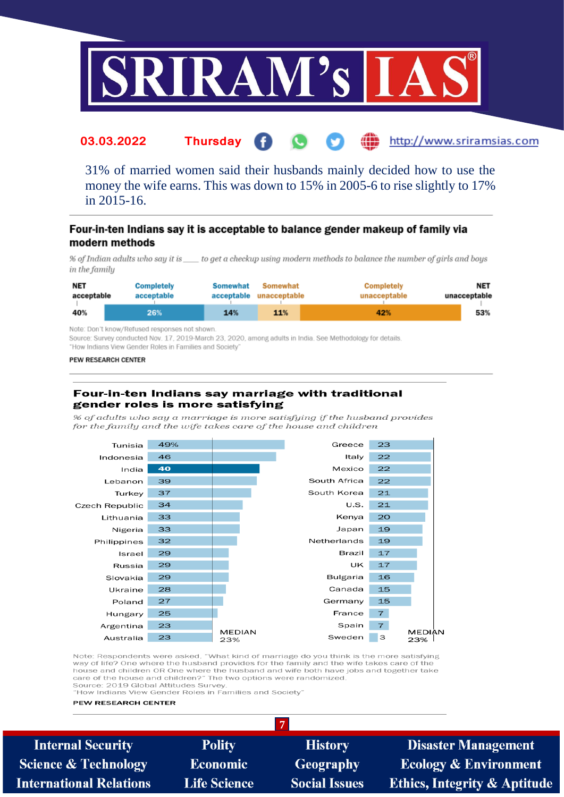

#### http://www.sriramsias.com 03.03.2022 **Thursday**

31% of married women said their husbands mainly decided how to use the money the wife earns. This was down to 15% in 2005-6 to rise slightly to 17% in 2015-16.

#### Four-in-ten Indians say it is acceptable to balance gender makeup of family via modern methods

% of Indian adults who say it is \_\_\_\_\_to get a checkup using modern methods to balance the number of girls and boys in the family

| <b>NET</b> | <b>Completely</b> | <b>Somewhat</b> | Somewhat     | <b>Completely</b> | NET          |
|------------|-------------------|-----------------|--------------|-------------------|--------------|
| acceptable | acceptable        | acceptable      | unacceptable | unacceptable      | unacceptable |
| 40%        | 26%               | 14%             | 11%          | 42%               | 53%          |

Note: Don't know/Refused responses not shown.

Source: Survey conducted Nov. 17, 2019-March 23, 2020, among adults in India. See Methodology for details. "How Indians View Gender Roles in Families and Society'

#### PEW RESEARCH CENTER

#### Four-in-ten Indians say marriage with traditional gender roles is more satisfying

% of adults who say a marriage is more satisfying if the husband provides for the family and the wife takes care of the house and children



Note: Respondents were asked, "What kind of marriage do you think is the more satisfying way of life? One where the bushand provides for the family and the wife takes care of the house and children OR One where the husband and wife both have jobs and together take care of the house and children?" The two options were randomized Source: 2019 Global Attitudes Survey

 $\overline{7}$ 

"How Indians View Gender Roles in Families and Society

#### PEW RESEARCH CENTER

**Internal Security Science & Technology International Relations** 

**Polity** Economic **Life Science** 

**History Geography Social Issues** 

**Disaster Management Ecology & Environment Ethics, Integrity & Aptitude**